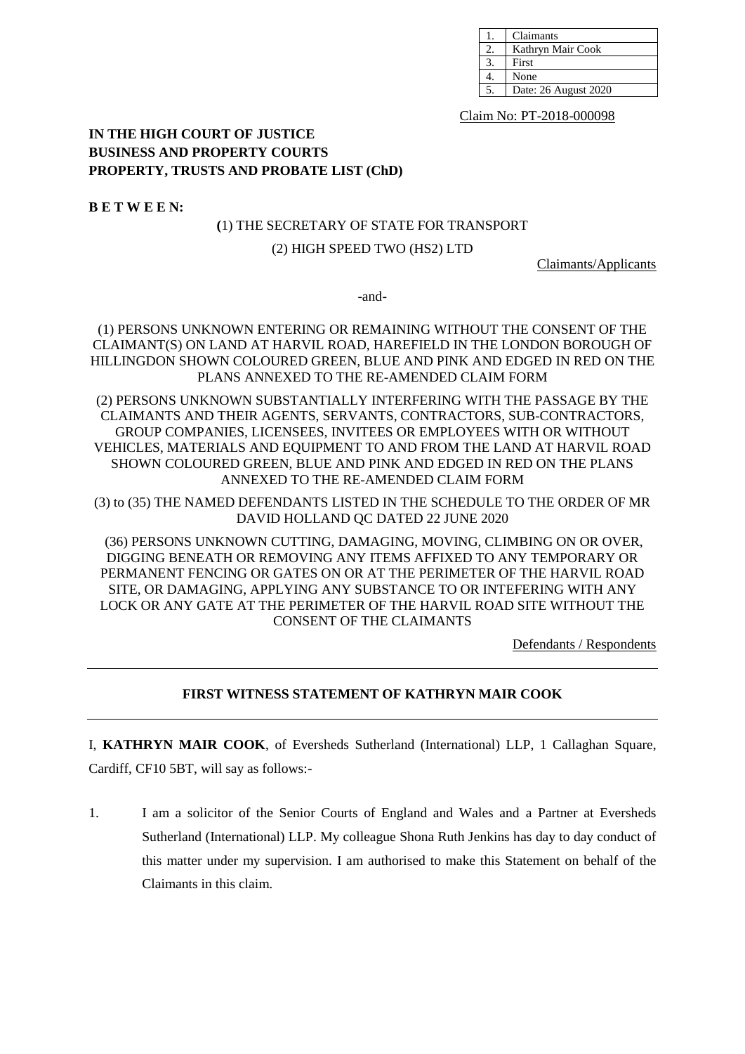| Claimants            |
|----------------------|
| Kathryn Mair Cook    |
| First                |
| None                 |
| Date: 26 August 2020 |

Claim No: PT-2018-000098

# **IN THE HIGH COURT OF JUSTICE BUSINESS AND PROPERTY COURTS PROPERTY, TRUSTS AND PROBATE LIST (ChD)**

**B E T W E E N:**

### **(**1) THE SECRETARY OF STATE FOR TRANSPORT

#### (2) HIGH SPEED TWO (HS2) LTD

Claimants/Applicants

-and-

(1) PERSONS UNKNOWN ENTERING OR REMAINING WITHOUT THE CONSENT OF THE CLAIMANT(S) ON LAND AT HARVIL ROAD, HAREFIELD IN THE LONDON BOROUGH OF HILLINGDON SHOWN COLOURED GREEN, BLUE AND PINK AND EDGED IN RED ON THE PLANS ANNEXED TO THE RE-AMENDED CLAIM FORM

(2) PERSONS UNKNOWN SUBSTANTIALLY INTERFERING WITH THE PASSAGE BY THE CLAIMANTS AND THEIR AGENTS, SERVANTS, CONTRACTORS, SUB-CONTRACTORS, GROUP COMPANIES, LICENSEES, INVITEES OR EMPLOYEES WITH OR WITHOUT VEHICLES, MATERIALS AND EQUIPMENT TO AND FROM THE LAND AT HARVIL ROAD SHOWN COLOURED GREEN, BLUE AND PINK AND EDGED IN RED ON THE PLANS ANNEXED TO THE RE-AMENDED CLAIM FORM

(3) to (35) THE NAMED DEFENDANTS LISTED IN THE SCHEDULE TO THE ORDER OF MR DAVID HOLLAND QC DATED 22 JUNE 2020

(36) PERSONS UNKNOWN CUTTING, DAMAGING, MOVING, CLIMBING ON OR OVER, DIGGING BENEATH OR REMOVING ANY ITEMS AFFIXED TO ANY TEMPORARY OR PERMANENT FENCING OR GATES ON OR AT THE PERIMETER OF THE HARVIL ROAD SITE, OR DAMAGING, APPLYING ANY SUBSTANCE TO OR INTEFERING WITH ANY LOCK OR ANY GATE AT THE PERIMETER OF THE HARVIL ROAD SITE WITHOUT THE CONSENT OF THE CLAIMANTS

Defendants / Respondents

## **FIRST WITNESS STATEMENT OF KATHRYN MAIR COOK**

I, **KATHRYN MAIR COOK**, of Eversheds Sutherland (International) LLP, 1 Callaghan Square, Cardiff, CF10 5BT, will say as follows:-

1. I am a solicitor of the Senior Courts of England and Wales and a Partner at Eversheds Sutherland (International) LLP. My colleague Shona Ruth Jenkins has day to day conduct of this matter under my supervision. I am authorised to make this Statement on behalf of the Claimants in this claim.